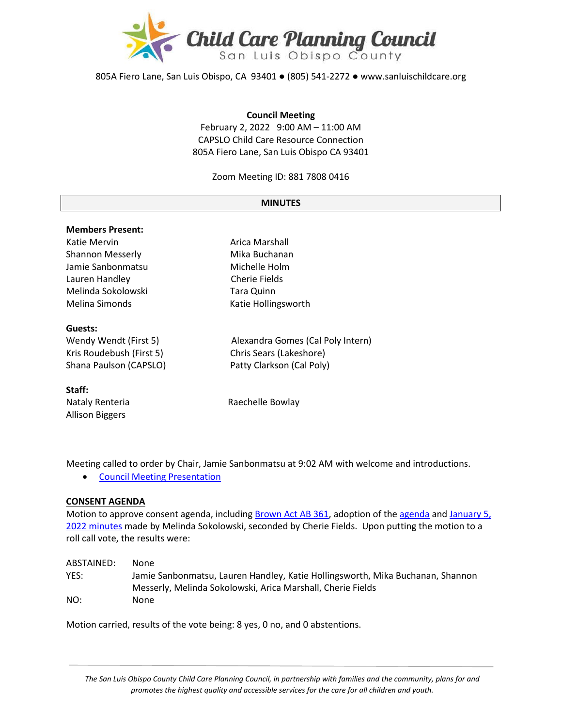

805A Fiero Lane, San Luis Obispo, CA 93401 ● (805) 541-2272 ● www.sanluischildcare.org

#### **Council Meeting**

February 2, 2022 9:00 AM – 11:00 AM CAPSLO Child Care Resource Connection 805A Fiero Lane, San Luis Obispo CA 93401

Zoom Meeting ID: 881 7808 0416

#### **MINUTES**

| <b>Members Present:</b>  |                                   |
|--------------------------|-----------------------------------|
| Katie Mervin             | Arica Marshall                    |
| <b>Shannon Messerly</b>  | Mika Buchanan                     |
| Jamie Sanbonmatsu        | Michelle Holm                     |
| Lauren Handley           | Cherie Fields                     |
| Melinda Sokolowski       | <b>Tara Quinn</b>                 |
| Melina Simonds           | Katie Hollingsworth               |
| Guests:                  |                                   |
| Wendy Wendt (First 5)    | Alexandra Gomes (Cal Poly Intern) |
| Kris Roudebush (First 5) | Chris Sears (Lakeshore)           |
| Shana Paulson (CAPSLO)   | Patty Clarkson (Cal Poly)         |
| Staff:                   |                                   |
| Nataly Renteria          | Raechelle Bowlay                  |
| <b>Allison Biggers</b>   |                                   |

Meeting called to order by Chair, Jamie Sanbonmatsu at 9:02 AM with welcome and introductions.

• [Council Meeting Presentation](https://drive.google.com/file/d/1BvhoEPw6mIPo35omYAk7sYiqMa6pfYh4/view?usp=sharing)

### **CONSENT AGENDA**

Motion to approve consent agenda, including [Brown Act AB 361,](https://drive.google.com/file/d/1xV784fINpebtIRgvDRY9FrSPEhB5iSTm/view?usp=sharing) adoption of th[e agenda](https://drive.google.com/file/d/1g02izt98kyYJx0b8-kiD7gAFe69sNqNN/view?usp=sharing) and [January](https://drive.google.com/file/d/1hHed1fxTmbvyUqmPYBcDSA8e8HHwqOE6/view?usp=sharing) 5, 2022 [minutes](https://drive.google.com/file/d/1hHed1fxTmbvyUqmPYBcDSA8e8HHwqOE6/view?usp=sharing) made by Melinda Sokolowski, seconded by Cherie Fields. Upon putting the motion to a roll call vote, the results were:

| ABSTAINED: | None                                                                           |
|------------|--------------------------------------------------------------------------------|
| YES:       | Jamie Sanbonmatsu, Lauren Handley, Katie Hollingsworth, Mika Buchanan, Shannon |
|            | Messerly, Melinda Sokolowski, Arica Marshall, Cherie Fields                    |
| NO:        | None                                                                           |

Motion carried, results of the vote being: 8 yes, 0 no, and 0 abstentions.

*The San Luis Obispo County Child Care Planning Council, in partnership with families and the community, plans for and promotes the highest quality and accessible services for the care for all children and youth.*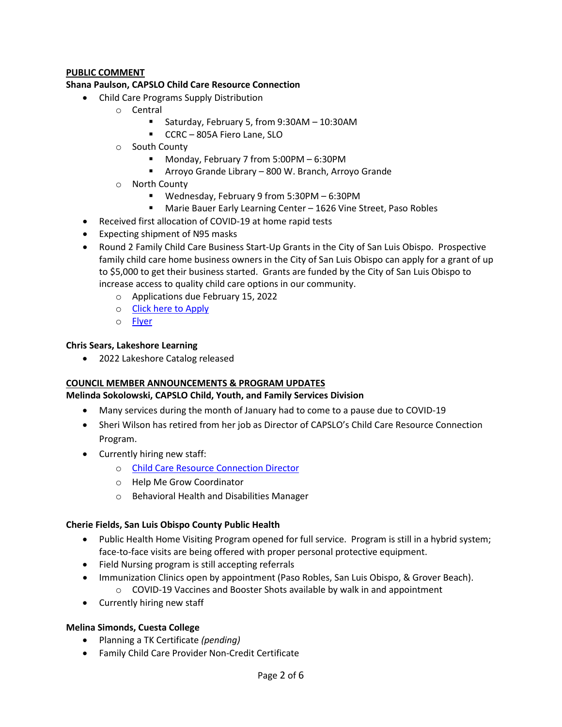# **PUBLIC COMMENT**

### **Shana Paulson, CAPSLO Child Care Resource Connection**

- Child Care Programs Supply Distribution
	- o Central
		- Saturday, February 5, from 9:30AM 10:30AM
		- **CCRC** 805A Fiero Lane, SLO
	- o South County
		- Monday, February 7 from 5:00PM 6:30PM
		- Arroyo Grande Library 800 W. Branch, Arroyo Grande
	- o North County
		- Wednesday, February 9 from 5:30PM 6:30PM
		- Marie Bauer Early Learning Center 1626 Vine Street, Paso Robles
- Received first allocation of COVID-19 at home rapid tests
- Expecting shipment of N95 masks
- Round 2 Family Child Care Business Start-Up Grants in the City of San Luis Obispo. Prospective family child care home business owners in the City of San Luis Obispo can apply for a grant of up to \$5,000 to get their business started. Grants are funded by the City of San Luis Obispo to increase access to quality child care options in our community.
	- o Applications due February 15, 2022
	- o [Click here to Apply](https://docs.google.com/forms/d/e/1FAIpQLSdsnZ1TvlOfSRMs7lNP4awe3cfWTpvbxqK_2P-ChXg0OM_HQA/viewform)
	- o [Flyer](https://drive.google.com/file/d/1t4-Y7gKcguRWrRQwE9OHgl975c9ze_pw/view?usp=sharing)

### **Chris Sears, Lakeshore Learning**

• 2022 Lakeshore Catalog released

### **COUNCIL MEMBER ANNOUNCEMENTS & PROGRAM UPDATES**

### **Melinda Sokolowski, CAPSLO Child, Youth, and Family Services Division**

- Many services during the month of January had to come to a pause due to COVID-19
- Sheri Wilson has retired from her job as Director of CAPSLO's Child Care Resource Connection Program.
- Currently hiring new staff:
	- o [Child Care Resource Connection Director](https://us61e2.dayforcehcm.com/CandidatePortal/en-us/capslo/Posting/View/5344)
	- o Help Me Grow Coordinator
	- o Behavioral Health and Disabilities Manager

### **Cherie Fields, San Luis Obispo County Public Health**

- Public Health Home Visiting Program opened for full service. Program is still in a hybrid system; face-to-face visits are being offered with proper personal protective equipment.
- Field Nursing program is still accepting referrals
- Immunization Clinics open by appointment (Paso Robles, San Luis Obispo, & Grover Beach). o COVID-19 Vaccines and Booster Shots available by walk in and appointment
- Currently hiring new staff

### **Melina Simonds, Cuesta College**

- Planning a TK Certificate *(pending)*
- Family Child Care Provider Non-Credit Certificate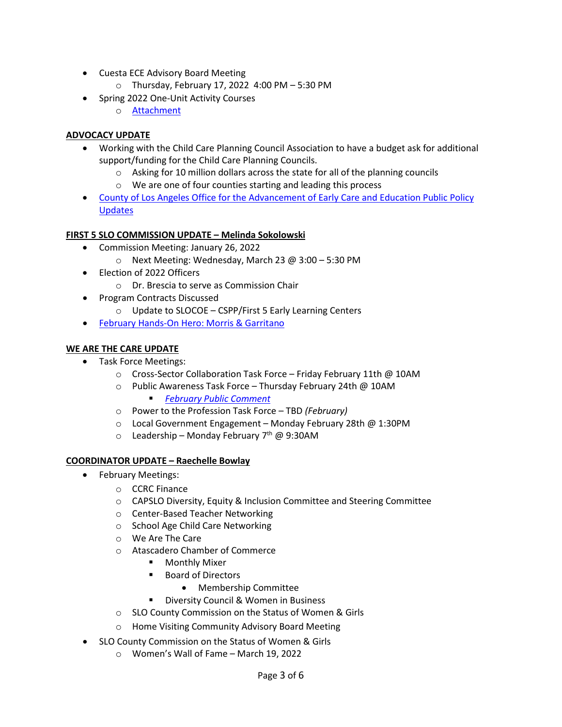- Cuesta ECE Advisory Board Meeting
	- o Thursday, February 17, 2022 4:00 PM 5:30 PM
- Spring 2022 One-Unit Activity Courses
	- o [Attachment](https://drive.google.com/file/d/1GrQa1H1CgwL2tm7_KIEk2AowtcqZ5w29/view?usp=sharing)

# **ADVOCACY UPDATE**

- Working with the Child Care Planning Council Association to have a budget ask for additional support/funding for the Child Care Planning Councils.
	- o Asking for 10 million dollars across the state for all of the planning councils
	- o We are one of four counties starting and leading this process
- [County of Los Angeles Office for the Advancement of Early Care and Education Public Policy](https://drive.google.com/file/d/1bDE4VHNDmwt34NKv5Px6YOgz15Bg1mM2/view?usp=sharing)  [Updates](https://drive.google.com/file/d/1bDE4VHNDmwt34NKv5Px6YOgz15Bg1mM2/view?usp=sharing)

### **FIRST 5 SLO COMMISSION UPDATE – Melinda Sokolowski**

- Commission Meeting: January 26, 2022
	- o Next Meeting: Wednesday, March 23 @ 3:00 5:30 PM
- Election of 2022 Officers
	- o Dr. Brescia to serve as Commission Chair
- Program Contracts Discussed
	- o Update to SLOCOE CSPP/First 5 Early Learning Centers
- February Hands-[On Hero: Morris & Garritano](https://drive.google.com/file/d/1NaIyGJfrFPqDnXCCUnjEzXeoTmWkNvED/view?usp=sharing)

### **WE ARE THE CARE UPDATE**

- Task Force Meetings:
	- o Cross-Sector Collaboration Task Force Friday February 11th @ 10AM
	- o Public Awareness Task Force Thursday February 24th @ 10AM *[February Public Comment](https://docs.google.com/spreadsheets/d/1mJA5c-vy3H9V2LpQiYpWVLcJNR8_-8l_gnvKxJorwgY/edit#gid=106575596)*
	- o Power to the Profession Task Force TBD *(February)*
	- o Local Government Engagement Monday February 28th @ 1:30PM
	- $\circ$  Leadership Monday February 7<sup>th</sup> @ 9:30AM

### **COORDINATOR UPDATE – Raechelle Bowlay**

- February Meetings:
	- o CCRC Finance
	- o CAPSLO Diversity, Equity & Inclusion Committee and Steering Committee
	- o Center-Based Teacher Networking
	- o School Age Child Care Networking
	- o We Are The Care
	- o Atascadero Chamber of Commerce
		- **•** Monthly Mixer
		- Board of Directors
			- Membership Committee
		- **Diversity Council & Women in Business**
	- o SLO County Commission on the Status of Women & Girls
	- o Home Visiting Community Advisory Board Meeting
- SLO County Commission on the Status of Women & Girls
	- o Women's Wall of Fame March 19, 2022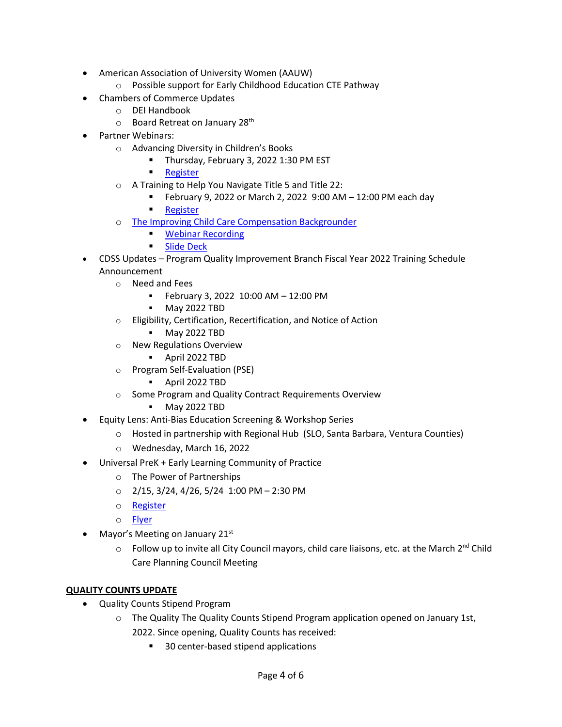- American Association of University Women (AAUW)
	- o Possible support for Early Childhood Education CTE Pathway
- Chambers of Commerce Updates
	- o DEI Handbook
	- o Board Retreat on January 28th
- Partner Webinars:
	- o Advancing Diversity in Children's Books
		- **Thursday, February 3, 2022 1:30 PM EST**
		- **[Register](https://us02web.zoom.us/webinar/register/WN_5r6UREpLQZqkO4UwUfHSAg)**
	- o A Training to Help You Navigate Title 5 and Title 22:
		- February 9, 2022 or March 2, 2022  $9:00$  AM  $-12:00$  PM each day
		- [Register](https://www.everychildca.org/index.php?option=com_jevents&task=icalrepeat.detail&evid=204&Itemid=180&year=2022&month=02&day=09&title=navigating-the-interface-of-title-5-a-title-22-regulations-february-9-2022&uid=1e9e2de5fd3428a8ea520c310f15fde5)
	- o [The Improving Child Care Compensation Backgrounder](https://buildinitiative.org/resource-library/backgrounder-on-compensation-in-child-care/)
		- **[Webinar Recording](https://buildinitiative.org/resource-library/child-care-compensation-counts-8-strategies-2/)**
		- **[Slide Deck](https://buildinitiative.org/resource-library/child-care-compensation-counts-8-strategies/)**
- CDSS Updates Program Quality Improvement Branch Fiscal Year 2022 Training Schedule Announcement
	- o Need and Fees
		- February 3, 2022 10:00 AM 12:00 PM
		- May 2022 TBD
	- o Eligibility, Certification, Recertification, and Notice of Action
		- May 2022 TBD
	- o New Regulations Overview
		- April 2022 TBD
	- o Program Self-Evaluation (PSE)
		- April 2022 TBD
	- o Some Program and Quality Contract Requirements Overview
		- May 2022 TBD
- Equity Lens: Anti-Bias Education Screening & Workshop Series
	- o Hosted in partnership with Regional Hub (SLO, Santa Barbara, Ventura Counties)
	- o Wednesday, March 16, 2022
- Universal PreK + Early Learning Community of Practice
	- o The Power of Partnerships
	- $O$  2/15, 3/24, 4/26, 5/24 1:00 PM 2:30 PM
	- o [Register](https://slocoe.k12oms.org/2535-213646)
	- o [Flyer](https://drive.google.com/file/d/1M5JIwW8QFkVkGG5plTTRZDYSPl02DufF/view?usp=sharing)
- Mayor's Meeting on January 21st
	- $\circ$  Follow up to invite all City Council mayors, child care liaisons, etc. at the March 2<sup>nd</sup> Child Care Planning Council Meeting

# **QUALITY COUNTS UPDATE**

- Quality Counts Stipend Program
	- $\circ$  The Quality The Quality Counts Stipend Program application opened on January 1st, 2022. Since opening, Quality Counts has received:
		- 30 center-based stipend applications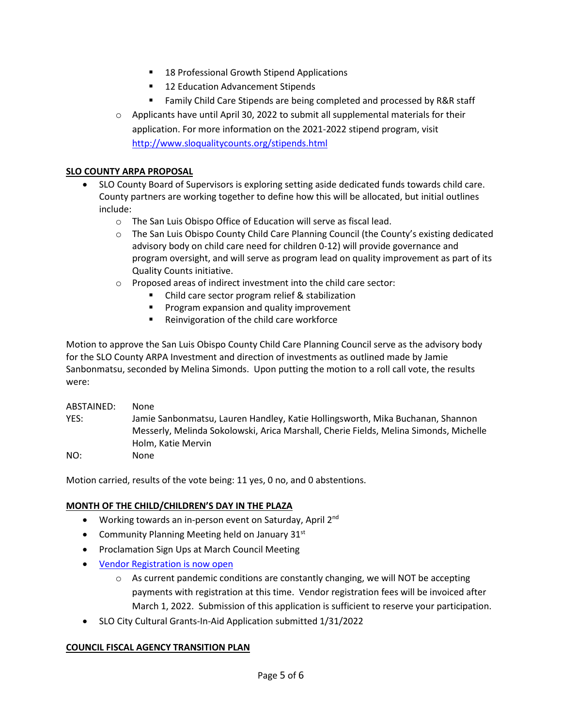- 18 Professional Growth Stipend Applications
- 12 Education Advancement Stipends
- Family Child Care Stipends are being completed and processed by R&R staff
- $\circ$  Applicants have until April 30, 2022 to submit all supplemental materials for their application. For more information on the 2021-2022 stipend program, visit <http://www.sloqualitycounts.org/stipends.html>

## **SLO COUNTY ARPA PROPOSAL**

- SLO County Board of Supervisors is exploring setting aside dedicated funds towards child care. County partners are working together to define how this will be allocated, but initial outlines include:
	- o The San Luis Obispo Office of Education will serve as fiscal lead.
	- o The San Luis Obispo County Child Care Planning Council (the County's existing dedicated advisory body on child care need for children 0-12) will provide governance and program oversight, and will serve as program lead on quality improvement as part of its Quality Counts initiative.
	- o Proposed areas of indirect investment into the child care sector:
		- Child care sector program relief & stabilization
		- **Program expansion and quality improvement**
		- **Reinvigoration of the child care workforce**

Motion to approve the San Luis Obispo County Child Care Planning Council serve as the advisory body for the SLO County ARPA Investment and direction of investments as outlined made by Jamie Sanbonmatsu, seconded by Melina Simonds. Upon putting the motion to a roll call vote, the results were:

ABSTAINED: None YES: Jamie Sanbonmatsu, Lauren Handley, Katie Hollingsworth, Mika Buchanan, Shannon Messerly, Melinda Sokolowski, Arica Marshall, Cherie Fields, Melina Simonds, Michelle Holm, Katie Mervin NO: None

Motion carried, results of the vote being: 11 yes, 0 no, and 0 abstentions.

### **MONTH OF THE CHILD/CHILDREN'S DAY IN THE PLAZA**

- Working towards an in-person event on Saturday, April  $2^{nd}$
- Community Planning Meeting held on January  $31^{st}$
- Proclamation Sign Ups at March Council Meeting
- [Vendor Registration is now open](https://docs.google.com/forms/d/e/1FAIpQLSdOiV-umokwiy2wCOnd-EyvvAAyW4k2L4hNw17lvHWfBuk4ng/viewform)
	- $\circ$  As current pandemic conditions are constantly changing, we will NOT be accepting payments with registration at this time. Vendor registration fees will be invoiced after March 1, 2022. Submission of this application is sufficient to reserve your participation.
- SLO City Cultural Grants-In-Aid Application submitted 1/31/2022

### **COUNCIL FISCAL AGENCY TRANSITION PLAN**